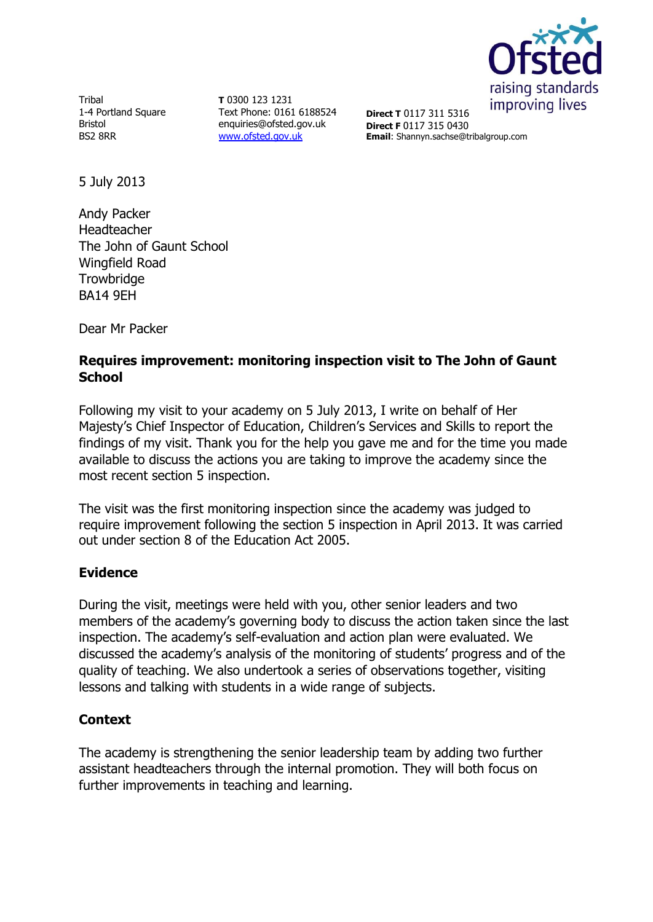

Tribal 1-4 Portland Square Bristol BS2 8RR

**T** 0300 123 1231 Text Phone: 0161 6188524 enquiries@ofsted.gov.uk [www.ofsted.gov.uk](http://www.ofsted.gov.uk/)

**Direct T** 0117 311 5316 **Direct F** 0117 315 0430 **Email**: Shannyn.sachse@tribalgroup.com

5 July 2013

Andy Packer Headteacher The John of Gaunt School Wingfield Road **Trowbridge** BA14 9EH

Dear Mr Packer

### **Requires improvement: monitoring inspection visit to The John of Gaunt School**

Following my visit to your academy on 5 July 2013, I write on behalf of Her Majesty's Chief Inspector of Education, Children's Services and Skills to report the findings of my visit. Thank you for the help you gave me and for the time you made available to discuss the actions you are taking to improve the academy since the most recent section 5 inspection.

The visit was the first monitoring inspection since the academy was judged to require improvement following the section 5 inspection in April 2013. It was carried out under section 8 of the Education Act 2005.

# **Evidence**

During the visit, meetings were held with you, other senior leaders and two members of the academy's governing body to discuss the action taken since the last inspection. The academy's self-evaluation and action plan were evaluated. We discussed the academy's analysis of the monitoring of students' progress and of the quality of teaching. We also undertook a series of observations together, visiting lessons and talking with students in a wide range of subjects.

# **Context**

The academy is strengthening the senior leadership team by adding two further assistant headteachers through the internal promotion. They will both focus on further improvements in teaching and learning.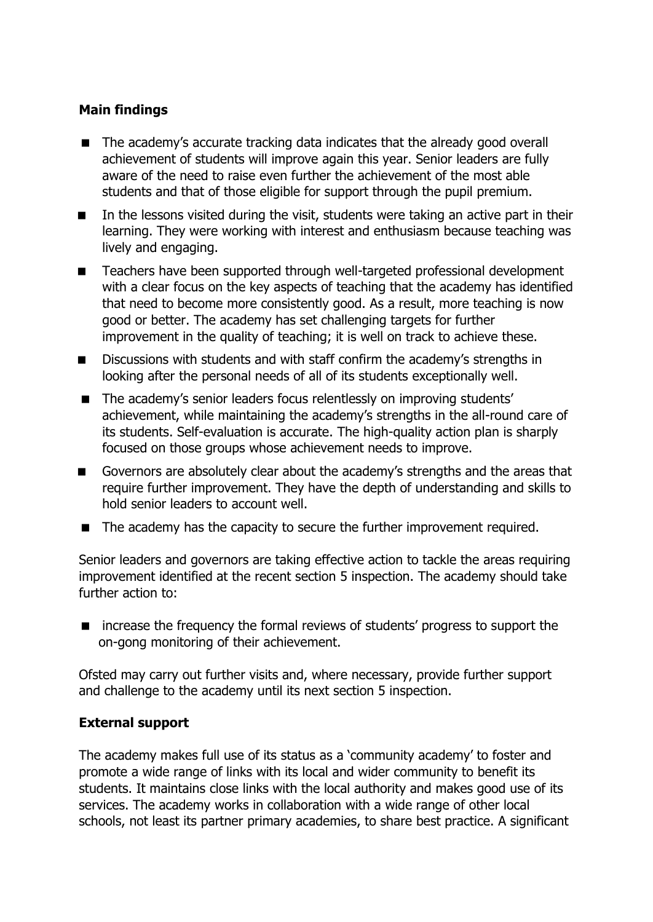#### **Main findings**

- The academy's accurate tracking data indicates that the already good overall achievement of students will improve again this year. Senior leaders are fully aware of the need to raise even further the achievement of the most able students and that of those eligible for support through the pupil premium.
- In the lessons visited during the visit, students were taking an active part in their learning. They were working with interest and enthusiasm because teaching was lively and engaging.
- Teachers have been supported through well-targeted professional development with a clear focus on the key aspects of teaching that the academy has identified that need to become more consistently good. As a result, more teaching is now good or better. The academy has set challenging targets for further improvement in the quality of teaching; it is well on track to achieve these.
- Discussions with students and with staff confirm the academy's strengths in looking after the personal needs of all of its students exceptionally well.
- **The academy's senior leaders focus relentlessly on improving students'** achievement, while maintaining the academy's strengths in the all-round care of its students. Self-evaluation is accurate. The high-quality action plan is sharply focused on those groups whose achievement needs to improve.
- Governors are absolutely clear about the academy's strengths and the areas that require further improvement. They have the depth of understanding and skills to hold senior leaders to account well.
- The academy has the capacity to secure the further improvement required.

Senior leaders and governors are taking effective action to tackle the areas requiring improvement identified at the recent section 5 inspection. The academy should take further action to:

■ increase the frequency the formal reviews of students' progress to support the on-gong monitoring of their achievement.

Ofsted may carry out further visits and, where necessary, provide further support and challenge to the academy until its next section 5 inspection.

#### **External support**

The academy makes full use of its status as a 'community academy' to foster and promote a wide range of links with its local and wider community to benefit its students. It maintains close links with the local authority and makes good use of its services. The academy works in collaboration with a wide range of other local schools, not least its partner primary academies, to share best practice. A significant